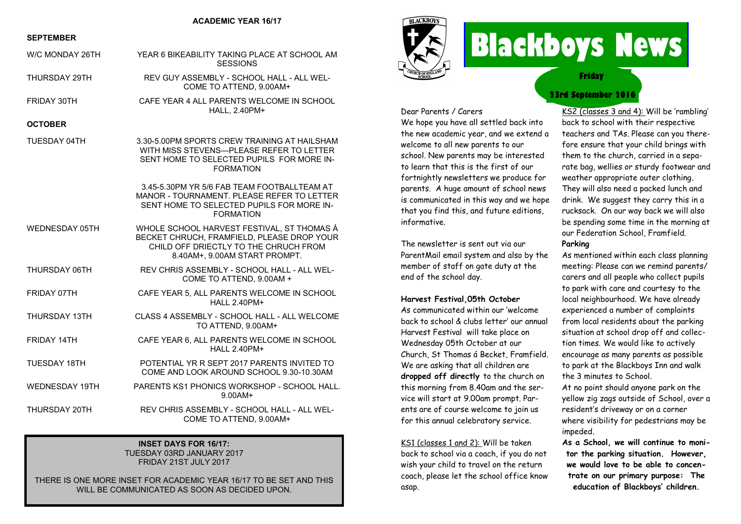#### **ACADEMIC YEAR 16/17**

#### **SEPTEMBER**

| W/C MONDAY 26TH       | YEAR 6 BIKEABILITY TAKING PLACE AT SCHOOL AM<br><b>SESSIONS</b>                                                                                                    |
|-----------------------|--------------------------------------------------------------------------------------------------------------------------------------------------------------------|
| THURSDAY 29TH         | REV GUY ASSEMBLY - SCHOOL HALL - ALL WEL-<br>COME TO ATTEND, 9.00AM+                                                                                               |
| FRIDAY 30TH           | CAFE YEAR 4 ALL PARENTS WELCOME IN SCHOOL<br>HALL, 2.40PM+                                                                                                         |
| <b>OCTOBER</b>        |                                                                                                                                                                    |
| TUESDAY 04TH          | 3.30-5.00PM SPORTS CREW TRAINING AT HAILSHAM<br>WITH MISS STEVENS-PLEASE REFER TO LETTER<br>SENT HOME TO SELECTED PUPILS FOR MORE IN-<br><b>FORMATION</b>          |
|                       | 3.45-5.30PM YR 5/6 FAB TEAM FOOTBALLTEAM AT<br>MANOR - TOURNAMENT, PLEASE REFER TO LETTER<br>SENT HOME TO SELECTED PUPILS FOR MORE IN-<br><b>FORMATION</b>         |
| WEDNESDAY 05TH        | WHOLE SCHOOL HARVEST FESTIVAL, ST THOMAS Á<br>BECKET CHRUCH, FRAMFIELD, PLEASE DROP YOUR<br>CHILD OFF DRIECTLY TO THE CHRUCH FROM<br>8.40AM+, 9.00AM START PROMPT. |
| THURSDAY 06TH         | REV CHRIS ASSEMBLY - SCHOOL HALL - ALL WEL-<br>COME TO ATTEND, 9.00AM +                                                                                            |
| FRIDAY 07TH           | CAFE YEAR 5, ALL PARENTS WELCOME IN SCHOOL<br><b>HALL 2.40PM+</b>                                                                                                  |
| THURSDAY 13TH         | CLASS 4 ASSEMBLY - SCHOOL HALL - ALL WELCOME<br>TO ATTEND, 9.00AM+                                                                                                 |
| FRIDAY 14TH           | CAFE YEAR 6, ALL PARENTS WELCOME IN SCHOOL<br><b>HALL 2.40PM+</b>                                                                                                  |
| <b>TUESDAY 18TH</b>   | POTENTIAL YR R SEPT 2017 PARENTS INVITED TO<br>COME AND LOOK AROUND SCHOOL 9.30-10.30AM                                                                            |
| <b>WEDNESDAY 19TH</b> | PARENTS KS1 PHONICS WORKSHOP - SCHOOL HALL.<br>9.00AM+                                                                                                             |
| THURSDAY 20TH         | REV CHRIS ASSEMBLY - SCHOOL HALL - ALL WEL-<br>COME TO ATTEND, 9.00AM+                                                                                             |

#### **INSET DAYS FOR 16/17:** TUESDAY 03RD JANUARY 2017 FRIDAY 21ST JULY 2017

THERE IS ONE MORE INSET FOR ACADEMIC YEAR 16/17 TO BE SET AND THIS WILL BE COMMUNICATED AS SOON AS DECIDED UPON.



# **Blackboys News**

**Friday**

## **23rd September 2016**

Dear Parents / Carers We hope you have all settled back into the new academic year, and we extend a welcome to all new parents to our school. New parents may be interested to learn that this is the first of our fortnightly newsletters we produce for parents. A huge amount of school news is communicated in this way and we hope that you find this, and future editions, informative.

The newsletter is sent out via our ParentMail email system and also by the member of staff on gate duty at the end of the school day.

#### **Harvest Festival,05th October**

As communicated within our 'welcome back to school & clubs letter' our annual Harvest Festival will take place on Wednesday 05th October at our Church, St Thomas á Becket, Framfield. We are asking that all children are **dropped off directly** to the church on this morning from 8.40am and the service will start at 9.00am prompt. Parents are of course welcome to join us for this annual celebratory service.

KS1 (classes 1 and 2): Will be taken back to school via a coach, if you do not wish your child to travel on the return coach, please let the school office know asap.

KS2 (classes 3 and 4): Will be 'rambling' back to school with their respective teachers and TAs. Please can you therefore ensure that your child brings with them to the church, carried in a separate bag, wellies or sturdy footwear and weather appropriate outer clothing. They will also need a packed lunch and drink. We suggest they carry this in a rucksack. On our way back we will also be spending some time in the morning at our Federation School, Framfield.

### **Parking**

As mentioned within each class planning meeting: Please can we remind parents/ carers and all people who collect pupils to park with care and courtesy to the local neighbourhood. We have already experienced a number of complaints from local residents about the parking situation at school drop off and collection times. We would like to actively encourage as many parents as possible to park at the Blackboys Inn and walk the 3 minutes to School.

At no point should anyone park on the yellow zig zags outside of School, over a resident's driveway or on a corner where visibility for pedestrians may be impeded.

**As a School, we will continue to monitor the parking situation. However, we would love to be able to concentrate on our primary purpose: The education of Blackboys' children.**